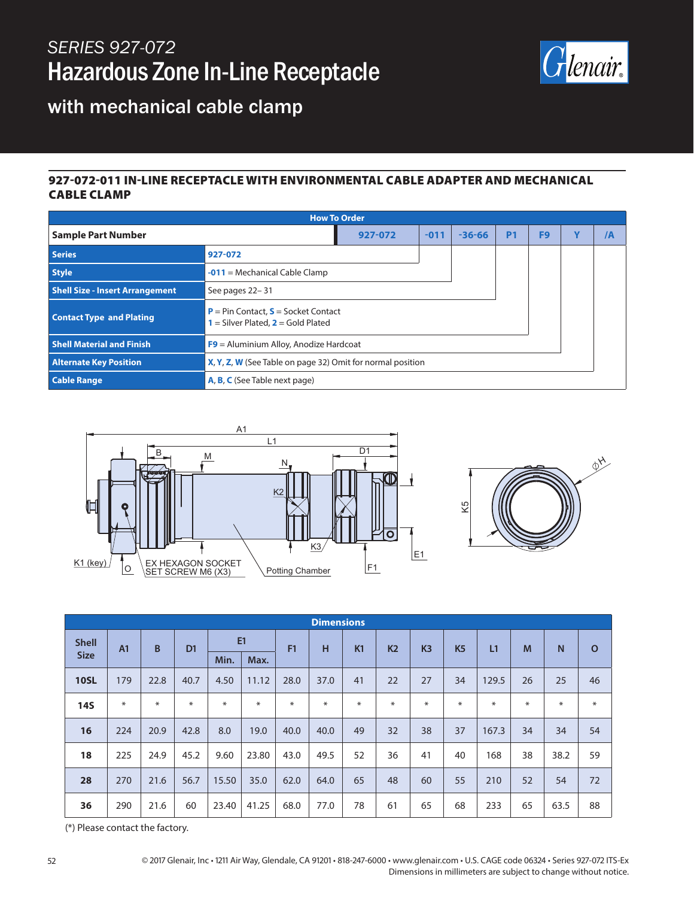## *SERIES 927-072* Hazardous Zone In-Line Receptacle



### with mechanical cable clamp

#### 927-072-011 IN-LINE RECEPTACLE WITH ENVIRONMENTAL CABLE ADAPTER AND MECHANICAL CABLE CLAMP

| <b>How To Order</b>                    |                                                                                        |        |            |           |    |   |    |  |  |
|----------------------------------------|----------------------------------------------------------------------------------------|--------|------------|-----------|----|---|----|--|--|
| <b>Sample Part Number</b>              | 927-072                                                                                | $-011$ | $-36 - 66$ | <b>P1</b> | F9 | v | /А |  |  |
| Series                                 | 927-072                                                                                |        |            |           |    |   |    |  |  |
| <b>Style</b>                           | $-011$ = Mechanical Cable Clamp                                                        |        |            |           |    |   |    |  |  |
| <b>Shell Size - Insert Arrangement</b> | See pages 22-31                                                                        |        |            |           |    |   |    |  |  |
| <b>Contact Type and Plating</b>        | <b>P</b> = Pin Contact, $S$ = Socket Contact<br>$1 =$ Silver Plated, $2 =$ Gold Plated |        |            |           |    |   |    |  |  |
| <b>Shell Material and Finish</b>       | $F9$ = Aluminium Alloy, Anodize Hardcoat                                               |        |            |           |    |   |    |  |  |
| <b>Alternate Key Position</b>          | X, Y, Z, W (See Table on page 32) Omit for normal position                             |        |            |           |    |   |    |  |  |
| <b>Cable Range</b>                     | <b>A, B, C</b> (See Table next page)                                                   |        |            |           |    |   |    |  |  |





| <b>Dimensions</b>           |                |        |                |        |       |      |      |                |                |                |                |        |    |              |             |
|-----------------------------|----------------|--------|----------------|--------|-------|------|------|----------------|----------------|----------------|----------------|--------|----|--------------|-------------|
| <b>Shell</b><br><b>Size</b> | A <sub>1</sub> | B      | D <sub>1</sub> | E1     |       | F1   | н    | K <sub>1</sub> | K <sub>2</sub> | K <sub>3</sub> | K <sub>5</sub> | L1     | M  | $\mathsf{N}$ | $\mathbf O$ |
|                             |                |        |                | Min.   | Max.  |      |      |                |                |                |                |        |    |              |             |
| <b>10SL</b>                 | 179            | 22.8   | 40.7           | 4.50   | 11.12 | 28.0 | 37.0 | 41             | 22             | 27             | 34             | 129.5  | 26 | 25           | 46          |
| <b>14S</b>                  | $\ast$         | $\ast$ | $\ast$         | $\ast$ | ⋇     | ∗    | ∗    | $\ast$         | ∗              | $\ast$         | $\ast$         | $\ast$ | ⋇  | $\ast$       | $\ast$      |
| 16                          | 224            | 20.9   | 42.8           | 8.0    | 19.0  | 40.0 | 40.0 | 49             | 32             | 38             | 37             | 167.3  | 34 | 34           | 54          |
| 18                          | 225            | 24.9   | 45.2           | 9.60   | 23.80 | 43.0 | 49.5 | 52             | 36             | 41             | 40             | 168    | 38 | 38.2         | 59          |
| 28                          | 270            | 21.6   | 56.7           | 15.50  | 35.0  | 62.0 | 64.0 | 65             | 48             | 60             | 55             | 210    | 52 | 54           | 72          |
| 36                          | 290            | 21.6   | 60             | 23.40  | 41.25 | 68.0 | 77.0 | 78             | 61             | 65             | 68             | 233    | 65 | 63.5         | 88          |

(\*) Please contact the factory.